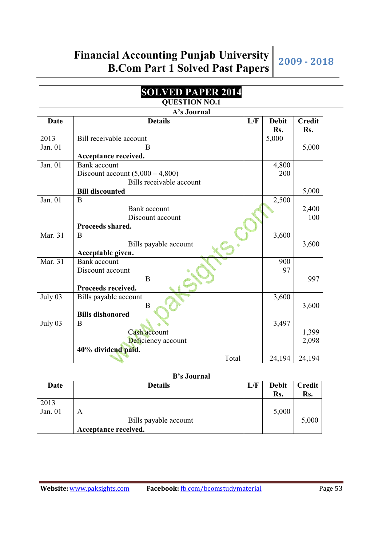#### **SOLVED PAPER 2014 QUESTION NO.1**

**A's Journal** 

|         | А э JUUL ПАІ                       |     |              |               |
|---------|------------------------------------|-----|--------------|---------------|
| Date    | <b>Details</b>                     | L/F | <b>Debit</b> | <b>Credit</b> |
|         |                                    |     | Rs.          | Rs.           |
| 2013    | Bill receivable account            |     | 5,000        |               |
| Jan. 01 | B                                  |     |              | 5,000         |
|         | Acceptance received.               |     |              |               |
| Jan. 01 | <b>Bank</b> account                |     | 4,800        |               |
|         | Discount account $(5,000 - 4,800)$ |     | 200          |               |
|         | Bills receivable account           |     |              |               |
|         | <b>Bill discounted</b>             |     |              | 5,000         |
| Jan. 01 | B                                  |     | 2,500        |               |
|         | Bank account                       |     |              | 2,400         |
|         | Discount account                   |     |              | 100           |
|         | Proceeds shared.                   |     |              |               |
| Mar. 31 | B                                  |     | 3,600        |               |
|         | Bills payable account              |     |              | 3,600         |
|         | Acceptable given.                  |     |              |               |
| Mar. 31 | <b>Bank</b> account                |     | 900          |               |
|         | Discount account                   |     | 97           |               |
|         | B                                  |     |              | 997           |
|         | Proceeds received.                 |     |              |               |
| July 03 | Bills payable account              |     | 3,600        |               |
|         | B                                  |     |              | 3,600         |
|         | <b>Bills dishonored</b>            |     |              |               |
| July 03 | B                                  |     | 3,497        |               |
|         | Cash account                       |     |              | 1,399         |
|         | Deficiency account                 |     |              | 2,098         |
|         | 40% dividend paid.                 |     |              |               |
|         | Total                              |     | 24,194       | 24,194        |

#### **B's Journal**

| Date    | <b>Details</b>        | L/F | <b>Debit</b> | Credit |
|---------|-----------------------|-----|--------------|--------|
|         |                       |     | Rs.          | Rs.    |
| 2013    |                       |     |              |        |
| Jan. 01 | A                     |     | 5,000        |        |
|         | Bills payable account |     |              | 5,000  |
|         | Acceptance received.  |     |              |        |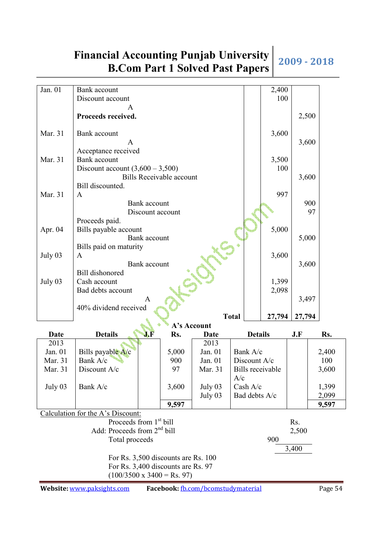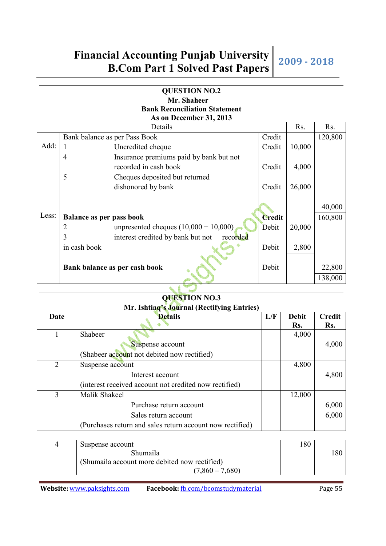|       |                                 | <b>QUESTION NO.2</b>                          |               |        |         |
|-------|---------------------------------|-----------------------------------------------|---------------|--------|---------|
|       |                                 | Mr. Shaheer                                   |               |        |         |
|       |                                 | <b>Bank Reconciliation Statement</b>          |               |        |         |
|       |                                 | As on December 31, 2013                       |               |        |         |
|       |                                 | Details                                       |               | Rs.    | Rs.     |
|       |                                 | Bank balance as per Pass Book                 | Credit        |        | 120,800 |
| Add:  | $\mathbf{1}$                    | Uncredited cheque                             | Credit        | 10,000 |         |
|       | $\overline{4}$                  | Insurance premiums paid by bank but not       |               |        |         |
|       |                                 | recorded in cash book                         | Credit        | 4,000  |         |
|       | 5                               | Cheques deposited but returned                |               |        |         |
|       |                                 | dishonored by bank                            | Credit        | 26,000 |         |
|       |                                 |                                               |               |        | 40,000  |
| Less: | <b>Balance as per pass book</b> |                                               | <b>Credit</b> |        | 160,800 |
|       | 2                               | unpresented cheques $(10,000 + 10,000)$       | Debit         | 20,000 |         |
|       | 3                               | interest credited by bank but not<br>recorded |               |        |         |
|       | in cash book                    |                                               | Debit         | 2,800  |         |
|       |                                 |                                               |               |        |         |
|       |                                 | Bank balance as per cash book                 | Debit         |        | 22,800  |
|       |                                 |                                               |               |        | 138,000 |
|       |                                 |                                               |               |        |         |

**QUESTION NO.3** 

| Mr. Ishtiag's Journal (Rectifying Entries) |                                                           |     |              |        |  |  |  |
|--------------------------------------------|-----------------------------------------------------------|-----|--------------|--------|--|--|--|
| Date                                       | <b>Details</b>                                            | L/F | <b>Debit</b> | Credit |  |  |  |
|                                            |                                                           |     | Rs.          | Rs.    |  |  |  |
|                                            | Shabeer                                                   |     | 4,000        |        |  |  |  |
|                                            | Suspense account                                          |     |              | 4,000  |  |  |  |
|                                            | (Shabeer account not debited now rectified)               |     |              |        |  |  |  |
| 2                                          | Suspense account                                          |     | 4,800        |        |  |  |  |
|                                            | Interest account                                          |     |              | 4,800  |  |  |  |
|                                            | (interest received account not credited now rectified)    |     |              |        |  |  |  |
| 3                                          | Malik Shakeel                                             |     | 12,000       |        |  |  |  |
|                                            | Purchase return account                                   |     |              | 6,000  |  |  |  |
|                                            | Sales return account                                      |     |              | 6,000  |  |  |  |
|                                            | (Purchases return and sales return account now rectified) |     |              |        |  |  |  |

| 4 | Suspense account                              | 180 |     |
|---|-----------------------------------------------|-----|-----|
|   | Shumaila                                      |     | .80 |
|   | (Shumaila account more debited now rectified) |     |     |
|   | $(7,860 - 7,680)$                             |     |     |

**Website:** www.paksights.com **Facebook:** fb.com/bcomstudymaterial Page 55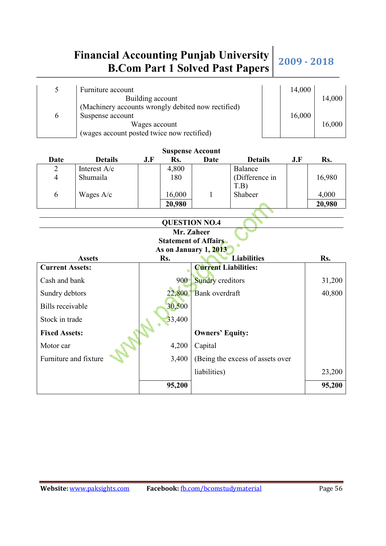|   | Furniture account                                  | 14,000 |        |
|---|----------------------------------------------------|--------|--------|
|   | Building account                                   |        | 14,000 |
|   | (Machinery accounts wrongly debited now rectified) |        |        |
| 6 | Suspense account                                   | 16,000 |        |
|   | Wages account                                      |        | 16,000 |
|   | (wages account posted twice now rectified)         |        |        |

| <b>Suspense Account</b> |                |  |     |                  |                             |                                  |     |        |
|-------------------------|----------------|--|-----|------------------|-----------------------------|----------------------------------|-----|--------|
| Date                    | <b>Details</b> |  | J.F | Rs.              | Date                        | <b>Details</b>                   | J.F | Rs.    |
| $\overline{2}$          | Interest A/c   |  |     | 4,800            |                             | Balance                          |     |        |
| $\overline{4}$          | Shumaila       |  |     | 180              |                             | (Difference in                   |     | 16,980 |
|                         |                |  |     |                  |                             | T.B)                             |     |        |
| 6                       | Wages A/c      |  |     | 16,000           | 1                           | Shabeer                          |     | 4,000  |
|                         |                |  |     | 20,980           |                             |                                  |     | 20,980 |
|                         |                |  |     |                  |                             |                                  |     |        |
|                         |                |  |     |                  | <b>QUESTION NO.4</b>        |                                  |     |        |
|                         |                |  |     |                  | Mr. Zaheer                  |                                  |     |        |
|                         |                |  |     |                  | <b>Statement of Affairs</b> |                                  |     |        |
|                         |                |  |     |                  | As on January 1, 2013       |                                  |     |        |
|                         | <b>Assets</b>  |  |     | Rs.              |                             | <b>Liabilities</b>               |     | Rs.    |
| <b>Current Assets:</b>  |                |  |     |                  | <b>Current Liabilities:</b> |                                  |     |        |
| Cash and bank           |                |  |     | 900 <sub>°</sub> | <b>Sundry creditors</b>     |                                  |     | 31,200 |
|                         |                |  |     |                  |                             |                                  |     |        |
| Sundry debtors          |                |  |     | 22,800           | Bank overdraft              |                                  |     | 40,800 |
| <b>Bills</b> receivable |                |  |     | 30,500           |                             |                                  |     |        |
| Stock in trade          |                |  |     | 33,400           |                             |                                  |     |        |
| <b>Fixed Assets:</b>    |                |  |     |                  | <b>Owners' Equity:</b>      |                                  |     |        |
| Motor car               |                |  |     | 4,200            | Capital                     |                                  |     |        |
| Furniture and fixture   |                |  |     | 3,400            |                             | (Being the excess of assets over |     |        |
|                         |                |  |     |                  | liabilities)                |                                  |     | 23,200 |

**95,200 95,200**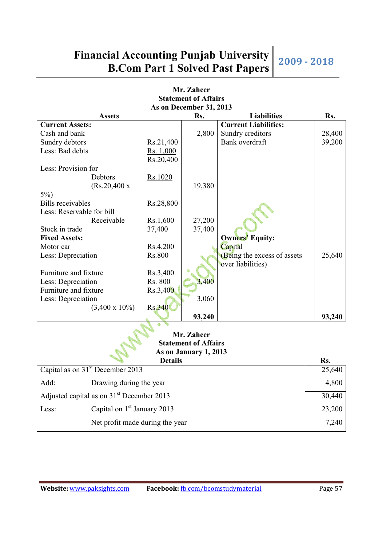**Mr. Zaheer Statement of Affairs As on December 31, 2013**  Assets Rs. **Right** Rs. **Example 1 Rs. Example 2 Rs. Rs. Current Assets: Current Liabilities:**  Cash and bank 2,800 Sundry creditors 28,400 Sundry debtors Rs.21,400 | Bank overdraft 39,200 Less: Bad debts Rs. 1,000 Rs.20,400 Less: Provision for Debtors Rs.1020 (Rs.20,400 x 5%) 19,380 Bills receivables Rs.28,800 Less: Reservable for bill Receivable  $\vert$  Rs.1,600 27,200 Stock in trade 37,400 37,400 Fixed Assets: <br>Motor car <br>Rs.4.200 Rs.4.200 Rs.4.200 Rs.4.200 Rs.4.200 Rs.4.200 Rs.4.200 Rs.4.200 Rs.4.200 Rs.4.200 Rs.4.200 Rs.4.200 Rs.4.200 Rs.4.200 Rs.4.200 Rs.4.200 Rs.4.200 Rs.4.200 Rs.4.200 Rs.4.200 Rs.4.200 Rs.4.20 Motor car  $\text{Rs.}4,200$ Less: Depreciation Rs.800 Rs.800 Rs.800 Rs.800 Rs.800 Rs.800 Rs.800 Rs.800 Rs.800 Rs.800 Rs.800 Rs.800 Rs.800 Rs.800 Rs.800 Rs.800 Rs.800 Rs.800 Rs.800 Rs.800 Rs.800 Rs.800 Rs.800 Rs.800 Rs.800 Rs.800 Rs.800 Rs.800 Rs.800 over liabilities) 25,640 Furniture and fixture Rs.3,400 Less: Depreciation Rs. 800 3,400 Furniture and fixture Rs.3,400 Less: Depreciation  $(3,400 \times 10\%)$  Rs.340 3,060 **93,240 93,240 Mr. Zaheer Statement of Affairs As on January 1, 2013**  Details Rs. Capital as on  $31<sup>st</sup>$  December 2013 Add: Drawing during the year 25,640 4,800 Adjusted capital as on  $31<sup>st</sup>$  December 2013 Less: Capital on  $1<sup>st</sup>$  January 2013 30,440 23,200

Net profit made during the year 7,240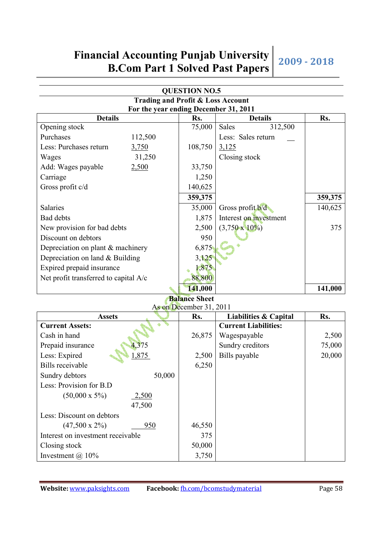| <b>QUESTION NO.5</b>                         |         |         |                        |         |  |  |  |
|----------------------------------------------|---------|---------|------------------------|---------|--|--|--|
| <b>Trading and Profit &amp; Loss Account</b> |         |         |                        |         |  |  |  |
| For the year ending December 31, 2011        |         |         |                        |         |  |  |  |
| <b>Details</b>                               |         | Rs.     | <b>Details</b>         | Rs.     |  |  |  |
| Opening stock                                |         | 75,000  | Sales<br>312,500       |         |  |  |  |
| Purchases                                    | 112,500 |         | Less: Sales return     |         |  |  |  |
| Less: Purchases return                       | 3,750   | 108,750 | 3,125                  |         |  |  |  |
| Wages                                        | 31,250  |         | Closing stock          |         |  |  |  |
| Add: Wages payable                           | 2,500   | 33,750  |                        |         |  |  |  |
| Carriage                                     |         | 1,250   |                        |         |  |  |  |
| Gross profit $c/d$                           |         | 140,625 |                        |         |  |  |  |
|                                              |         | 359,375 |                        | 359,375 |  |  |  |
| Salaries                                     |         | 35,000  | Gross profit b/d       | 140,625 |  |  |  |
| <b>Bad</b> debts                             |         | 1,875   | Interest on investment |         |  |  |  |
| New provision for bad debts                  |         | 2,500   | $(3,750 \times 10\%)$  | 375     |  |  |  |
| Discount on debtors                          |         | 950     |                        |         |  |  |  |
| Depreciation on plant & machinery            |         | 6,875   |                        |         |  |  |  |
| Depreciation on land & Building              |         | 3,125   |                        |         |  |  |  |
| Expired prepaid insurance                    |         | 1,875   |                        |         |  |  |  |
| Net profit transferred to capital A/c        |         | 88,800  |                        |         |  |  |  |
|                                              |         | 141,000 |                        | 141,000 |  |  |  |

**Balance Sheet** 

| As on December 31, 2011           |        |                             |        |  |  |  |  |
|-----------------------------------|--------|-----------------------------|--------|--|--|--|--|
| <b>Assets</b>                     | Rs.    | Liabilities & Capital       | Rs.    |  |  |  |  |
| <b>Current Assets:</b>            |        | <b>Current Liabilities:</b> |        |  |  |  |  |
| Cash in hand                      | 26,875 | Wagespayable                | 2,500  |  |  |  |  |
| Prepaid insurance<br>4,375        |        | Sundry creditors            | 75,000 |  |  |  |  |
| 1,875<br>Less: Expired            | 2,500  | Bills payable               | 20,000 |  |  |  |  |
| Bills receivable                  | 6,250  |                             |        |  |  |  |  |
| 50,000<br>Sundry debtors          |        |                             |        |  |  |  |  |
| Less: Provision for B.D           |        |                             |        |  |  |  |  |
| $(50,000 \times 5\%)$<br>2,500    |        |                             |        |  |  |  |  |
| 47,500                            |        |                             |        |  |  |  |  |
| Less: Discount on debtors         |        |                             |        |  |  |  |  |
| $(47,500 \times 2\%)$<br>950      | 46,550 |                             |        |  |  |  |  |
| Interest on investment receivable | 375    |                             |        |  |  |  |  |
| Closing stock                     | 50,000 |                             |        |  |  |  |  |
| Investment $\omega$ 10%           | 3,750  |                             |        |  |  |  |  |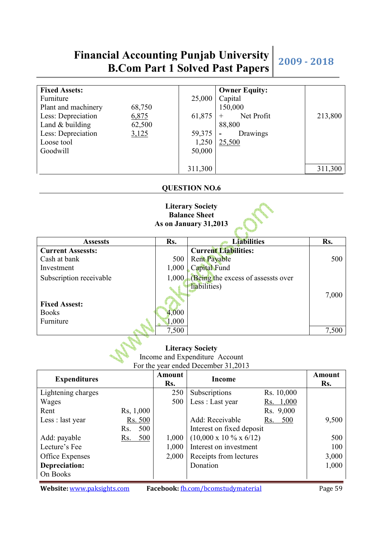| <b>Fixed Assets:</b> |        |         | <b>Owner Equity:</b>                 |         |
|----------------------|--------|---------|--------------------------------------|---------|
| Furniture            |        | 25,000  | Capital                              |         |
| Plant and machinery  | 68,750 |         | 150,000                              |         |
| Less: Depreciation   | 6,875  | 61,875  | Net Profit                           | 213,800 |
| Land $&$ building    | 62,500 |         | 88,800                               |         |
| Less: Depreciation   | 3,125  | 59,375  | Drawings<br>$\overline{\phantom{0}}$ |         |
| Loose tool           |        | 1,250   | 25,500                               |         |
| Goodwill             |        | 50,000  |                                      |         |
|                      |        |         |                                      |         |
|                      |        | 311,300 |                                      | 311,300 |

#### **QUESTION NO.6**

#### **Literary Society Balance Sheet As on January 31,2013**

| <b>Assessts</b>          | Rs.   | <b>Liabilities</b>                 | Rs.   |
|--------------------------|-------|------------------------------------|-------|
| <b>Current Assessts:</b> |       | <b>Current Liabilities:</b>        |       |
| Cash at bank             | 500   | <b>Rent Payable</b>                | 500   |
| Investment               | 1,000 | Capital Fund                       |       |
| Subscription receivable  | 1,000 | (Being the excess of assessts over |       |
|                          |       | liabilities)                       |       |
|                          |       |                                    | 7,000 |
| <b>Fixed Assest:</b>     |       |                                    |       |
| <b>Books</b>             | 4,000 |                                    |       |
| Furniture                | 1,000 |                                    |       |

### **Literacy Society**

7,500 7,500

Income and Expenditure Account

For the year ended December 31,2013

| <b>Expenditures</b> |            | <b>Amount</b><br>Rs. | <b>Income</b>                                |            | Amount<br>Rs. |
|---------------------|------------|----------------------|----------------------------------------------|------------|---------------|
| Lightening charges  |            | 250                  | Subscriptions                                | Rs. 10,000 |               |
| Wages               |            | 500                  | Less : Last year                             | Rs. 1,000  |               |
| Rent                | Rs, 1,000  |                      |                                              | Rs. 9,000  |               |
| Less : last year    | Rs. 500    |                      | Add: Receivable                              | 500<br>Rs. | 9,500         |
|                     | 500<br>Rs. |                      | Interest on fixed deposit                    |            |               |
| Add: payable        | 500<br>Rs. | 1,000                | $(10,000 \times 10 \frac{6}{3} \times 6/12)$ |            | 500           |
| Lecture's Fee       |            | 1,000                | Interest on investment                       |            | 100           |
| Office Expenses     |            | 2,000                | Receipts from lectures                       |            | 3,000         |
| Depreciation:       |            |                      | Donation                                     |            | 1,000         |
| On Books            |            |                      |                                              |            |               |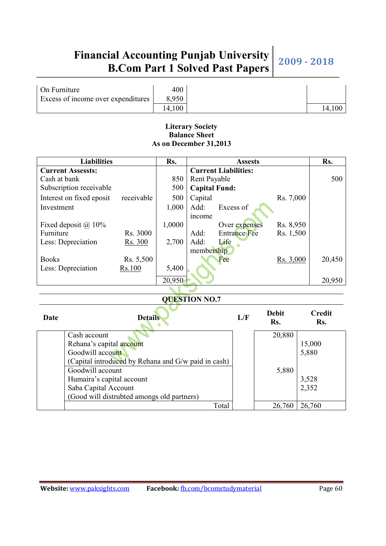| On Furniture                       | 400    |     |
|------------------------------------|--------|-----|
| Excess of income over expenditures | 8.950  |     |
|                                    | 14,100 | 14. |

#### **Literary Society Balance Sheet As on December 31,2013**

| <b>Liabilities</b><br>Rs.                           |                                            |            |        | <b>Assests</b>              |           |                     |           |        | Rs.           |
|-----------------------------------------------------|--------------------------------------------|------------|--------|-----------------------------|-----------|---------------------|-----------|--------|---------------|
|                                                     | <b>Current Assessts:</b>                   |            |        | <b>Current Liabilities:</b> |           |                     |           |        |               |
| Cash at bank                                        |                                            |            | 850    | Rent Payable                |           |                     |           |        | 500           |
|                                                     | Subscription receivable                    |            | 500    | <b>Capital Fund:</b>        |           |                     |           |        |               |
|                                                     | Interest on fixed eposit                   | receivable | 500    | Capital                     |           |                     | Rs. 7,000 |        |               |
| Investment                                          |                                            |            | 1,000  | Add:                        | Excess of |                     |           |        |               |
|                                                     |                                            |            |        | income                      |           |                     |           |        |               |
|                                                     | Fixed deposit $@10\%$                      |            | 1,0000 |                             |           | Over expenses       | Rs. 8,950 |        |               |
| Furniture                                           |                                            | Rs. 3000   |        | Add:                        |           | <b>Entrance Fee</b> | Rs. 1,500 |        |               |
|                                                     | Less: Depreciation                         | Rs. 300    | 2,700  | Add:                        | Life      |                     |           |        |               |
|                                                     |                                            |            |        | membership                  |           |                     |           |        |               |
| <b>Books</b>                                        |                                            | Rs. 5,500  |        |                             | Fee       |                     | Rs. 3,000 |        | 20,450        |
|                                                     | Less: Depreciation                         | Rs.100     | 5,400  |                             |           |                     |           |        |               |
|                                                     |                                            |            | 20,950 |                             |           |                     |           |        | 20,950        |
|                                                     |                                            |            |        |                             |           |                     |           |        |               |
| <b>QUESTION NO.7</b>                                |                                            |            |        |                             |           |                     |           |        |               |
|                                                     |                                            |            |        |                             |           | <b>Debit</b>        |           |        | <b>Credit</b> |
| Date<br><b>Details</b>                              |                                            |            |        |                             | L/F       | Rs.                 |           | Rs.    |               |
|                                                     |                                            |            |        |                             |           |                     |           |        |               |
|                                                     | Cash account                               |            |        |                             |           |                     | 20,880    |        |               |
| Rehana's capital account                            |                                            |            |        |                             |           |                     | 15,000    |        |               |
| Goodwill account                                    |                                            |            |        |                             |           | 5,880               |           |        |               |
| (Capital introduced by Rehana and G/w paid in cash) |                                            |            |        |                             |           |                     |           |        |               |
|                                                     | Goodwill account                           |            |        |                             |           |                     | 5,880     |        |               |
| Humaira's capital account                           |                                            |            |        |                             |           |                     | 3,528     |        |               |
| Saba Capital Account                                |                                            |            |        |                             |           | 2,352               |           |        |               |
|                                                     | (Good will distrubted amongs old partners) |            |        |                             |           |                     |           |        |               |
|                                                     |                                            |            |        |                             | Total     |                     | 26,760    | 26,760 |               |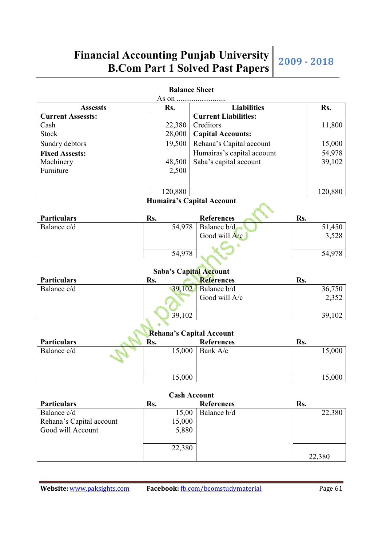|                                      |                  | <b>Dalatice Street</b>                            |     |                 |  |  |  |
|--------------------------------------|------------------|---------------------------------------------------|-----|-----------------|--|--|--|
|                                      |                  |                                                   |     |                 |  |  |  |
| <b>Assessts</b>                      | Rs.              | <b>Liabilities</b><br><b>Current Liabilities:</b> |     | Rs.             |  |  |  |
| <b>Current Assessts:</b>             |                  |                                                   |     |                 |  |  |  |
| Cash<br><b>Stock</b>                 | 22,380<br>28,000 | Creditors                                         |     | 11,800          |  |  |  |
|                                      |                  | <b>Capital Accounts:</b>                          |     |                 |  |  |  |
| Sundry debtors                       | 19,500           | Rehana's Capital account                          |     | 15,000          |  |  |  |
| <b>Fixed Assests:</b>                |                  | Humairas's capital acoount                        |     | 54,978          |  |  |  |
| Machinery                            | 48,500           | Saba's capital account                            |     | 39,102          |  |  |  |
| Furniture                            | 2,500            |                                                   |     |                 |  |  |  |
|                                      |                  |                                                   |     |                 |  |  |  |
|                                      | 120,880          |                                                   |     | 120,880         |  |  |  |
|                                      |                  | Humaira's Capital Account                         |     |                 |  |  |  |
|                                      |                  |                                                   |     |                 |  |  |  |
| <b>Particulars</b>                   | Rs.              | <b>References</b>                                 | Rs. |                 |  |  |  |
| Balance c/d                          | 54,978           | Balance b/d                                       |     | 51,450          |  |  |  |
|                                      |                  | Good will A/c                                     |     | 3,528           |  |  |  |
|                                      |                  |                                                   |     |                 |  |  |  |
|                                      | 54,978           |                                                   |     | 54,978          |  |  |  |
|                                      |                  |                                                   |     |                 |  |  |  |
|                                      |                  | <b>Saba's Capital Account</b>                     |     |                 |  |  |  |
| <b>Particulars</b>                   | Rs.              | <b>References</b>                                 | Rs. |                 |  |  |  |
| Balance c/d                          | 39,102           | Balance b/d                                       |     | 36,750          |  |  |  |
|                                      |                  | Good will A/c                                     |     | 2,352           |  |  |  |
|                                      |                  |                                                   |     |                 |  |  |  |
|                                      | 39,102           |                                                   |     | 39,102          |  |  |  |
|                                      |                  |                                                   |     |                 |  |  |  |
| Rehana's Capital Account             |                  |                                                   |     |                 |  |  |  |
| <b>Particulars</b>                   | Rs.              | <b>References</b>                                 | Rs. |                 |  |  |  |
| Balance c/d                          | 15,000           | Bank A/c                                          |     | 15,000          |  |  |  |
|                                      |                  |                                                   |     |                 |  |  |  |
|                                      |                  |                                                   |     |                 |  |  |  |
|                                      | 15,000           |                                                   |     | 15,000          |  |  |  |
|                                      |                  |                                                   |     |                 |  |  |  |
| <b>Cash Account</b>                  |                  |                                                   |     |                 |  |  |  |
| <b>Particulars</b><br>$Dol$ gaa $dd$ | Rs.              | <b>References</b><br>$15.00 \mid$ Delenge $h/d$   | Rs. | <u>າາ 200 I</u> |  |  |  |

#### **Balance Sheet**

| Rehana's Capital Account |  |        |                   |        |  |  |
|--------------------------|--|--------|-------------------|--------|--|--|
| <b>Particulars</b>       |  | Rs.    | <b>References</b> | Rs.    |  |  |
| Balance c/d              |  | 15,000 | Bank A/c          | 15,000 |  |  |
|                          |  | 15,000 |                   | 15,000 |  |  |

| <b>Cash Account</b>      |        |                   |        |  |  |  |  |
|--------------------------|--------|-------------------|--------|--|--|--|--|
| <b>Particulars</b>       | Rs.    | <b>References</b> | Rs.    |  |  |  |  |
| Balance c/d              | 15,00  | Balance b/d       | 22.380 |  |  |  |  |
| Rehana's Capital account | 15,000 |                   |        |  |  |  |  |
| Good will Account        | 5,880  |                   |        |  |  |  |  |
|                          |        |                   |        |  |  |  |  |
|                          | 22,380 |                   |        |  |  |  |  |
|                          |        |                   | 22,380 |  |  |  |  |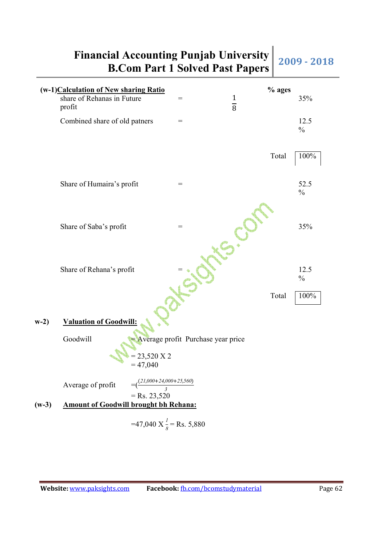**Financial Accounting Punjab University** 

### **B.Com Part 1 Solved Past Papers** 2009 - 2018 (w-1)**Calculation of New sharing Ratio**<br>
share of Rehanas in Future  $\begin{array}{r} \n\mathcal{L} \\
\mathcal{L} \\
\mathcal{L}\n\end{array}$  =  $\begin{array}{r} \n\mathcal{L} \\
\mathcal{L}\n\end{array}$  ages share of Rehanas in Future profit  $=$  1  $\overline{8}$  35% Combined share of old patners  $=$  12.5  $\frac{0}{0}$ Total 100% Share of Humaira's profit  $=$  52.5  $\frac{0}{0}$ Share of Saba's profit  $=$  35% Share of Rehana's profit  $=$   $\bullet$   $\bullet$   $\bullet$  12.5  $\frac{0}{0}$ Total 100% **w-2) Valuation of Goodwill:** Goodwill = Average profit Purchase year price 23,520 X 2  $= 47,040$

Average of profit  $=(\frac{(21,000+24,000+25,560)}{3})$  $=$  Rs. 23,520

**(w-3) Amount of Goodwill brought bh Rehana:**

 $=47,040 \text{ X} \frac{1}{8} = \text{Rs. } 5,880$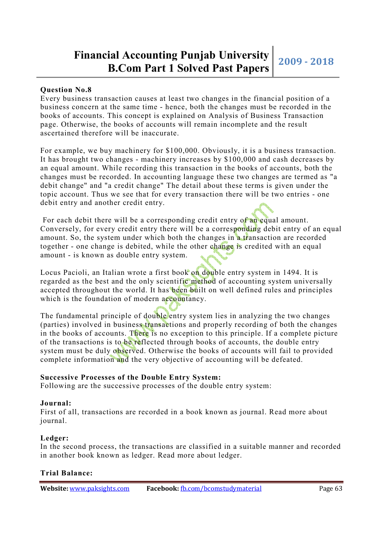#### **Question No.8**

Every business transaction causes at least two changes in the financial position of a business concern at the same time - hence, both the changes must be recorded in the books of accounts. This concept is explained on Analysis of Business Transaction page. Otherwise, the books of accounts will remain incomplete and the result ascertained therefore will be inaccurate.

For example, we buy machinery for \$100,000. Obviously, it is a business transaction. It has brought two changes - machinery increases by \$100,000 and cash decreases by an equal amount. While recording this transaction in the books of accounts, both the changes must be recorded. In accounting language these two changes are termed as "a debit change" and "a credit change" The detail about these terms is given under the topic account. Thus we see that for every transaction there will be two entries - one debit entry and another credit entry.

For each debit there will be a corresponding credit entry of an equal amount. Conversely, for every credit entry there will be a corresponding debit entry of an equal amount. So, the system under which both the changes in a transaction are recorded together - one change is debited, while the other change is credited with an equal amount - is known as double entry system.

Locus Pacioli, an Italian wrote a first book on double entry system in 1494. It is regarded as the best and the only scientific method of accounting system universally accepted throughout the world. It has been built on well defined rules and principles which is the foundation of modern accountancy.

The fundamental principle of double entry system lies in analyzing the two changes (parties) involved in business transactions and properly recording of both the changes in the books of accounts. There is no exception to this principle. If a complete picture of the transactions is to be reflected through books of accounts, the double entry system must be duly observed. Otherwise the books of accounts will fail to provided complete information and the very objective of accounting will be defeated.

#### **Successive Processes of the Double Entry System:**

Following are the successive processes of the double entry system:

#### **Journal:**

First of all, transactions are recorded in a book known as journal. Read more about journal.

#### **Ledger:**

In the second process, the transactions are classified in a suitable manner and recorded in another book known as ledger. Read more about ledger.

#### **Trial Balance:**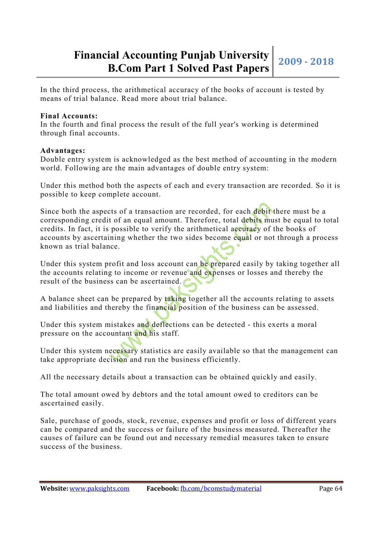In the third process, the arithmetical accuracy of the books of account is tested by means of trial balance. Read more about trial balance.

#### **Final Accounts:**

In the fourth and final process the result of the full year's working is determined through final accounts.

#### **Advantages:**

Double entry system is acknowledged as the best method of accounting in the modern world. Following are the main advantages of double entry system:

Under this method both the aspects of each and every transaction are recorded. So it is possible to keep complete account.

Since both the aspects of a transaction are recorded, for each debit there must be a corresponding credit of an equal amount. Therefore, total debits must be equal to total credits. In fact, it is possible to verify the arithmetical accuracy of the books of accounts by ascertaining whether the two sides become equal or not through a process known as trial balance.

Under this system profit and loss account can be prepared easily by taking together all the accounts relating to income or revenue and expenses or losses and thereby the result of the business can be ascertained.

A balance sheet can be prepared by taking together all the accounts relating to assets and liabilities and thereby the financial position of the business can be assessed.

Under this system mistakes and deflections can be detected - this exerts a moral pressure on the accountant and his staff.

Under this system necessary statistics are easily available so that the management can take appropriate decision and run the business efficiently.

All the necessary details about a transaction can be obtained quickly and easily.

The total amount owed by debtors and the total amount owed to creditors can be ascertained easily.

Sale, purchase of goods, stock, revenue, expenses and profit or loss of different years can be compared and the success or failure of the business measured. Thereafter the causes of failure can be found out and necessary remedial measures taken to ensure success of the business.